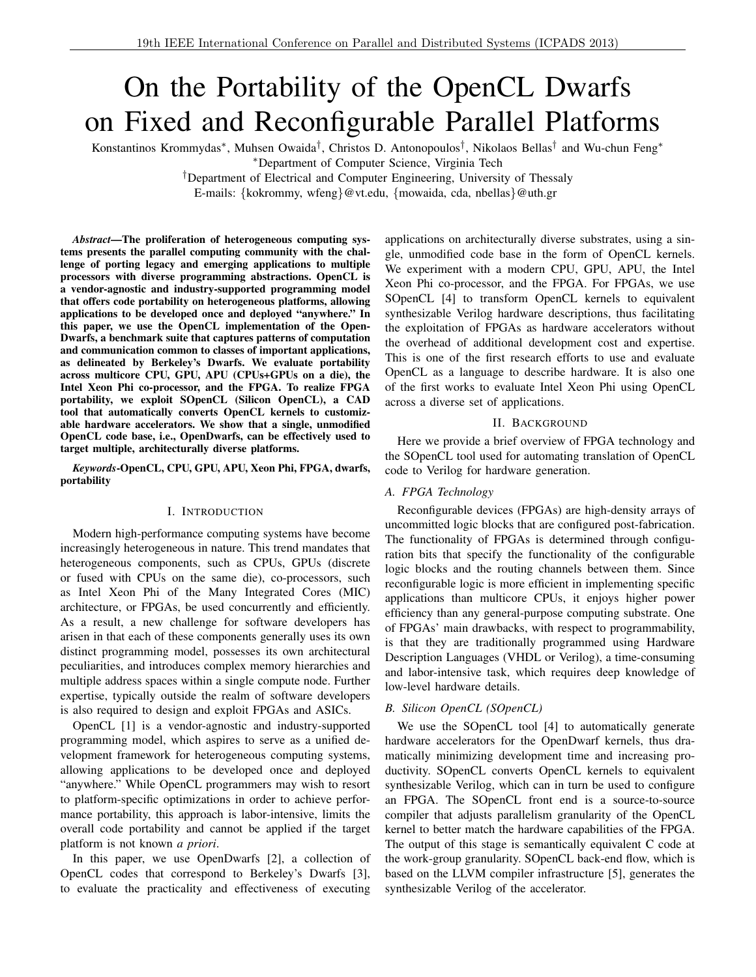# On the Portability of the OpenCL Dwarfs on Fixed and Reconfigurable Parallel Platforms

Konstantinos Krommydas<sup>∗</sup> , Muhsen Owaida† , Christos D. Antonopoulos† , Nikolaos Bellas† and Wu-chun Feng<sup>∗</sup>

<sup>∗</sup>Department of Computer Science, Virginia Tech

†Department of Electrical and Computer Engineering, University of Thessaly

E-mails: {kokrommy, wfeng}@vt.edu, {mowaida, cda, nbellas}@uth.gr

*Abstract*—The proliferation of heterogeneous computing systems presents the parallel computing community with the challenge of porting legacy and emerging applications to multiple processors with diverse programming abstractions. OpenCL is a vendor-agnostic and industry-supported programming model that offers code portability on heterogeneous platforms, allowing applications to be developed once and deployed "anywhere." In this paper, we use the OpenCL implementation of the Open-Dwarfs, a benchmark suite that captures patterns of computation and communication common to classes of important applications, as delineated by Berkeley's Dwarfs. We evaluate portability across multicore CPU, GPU, APU (CPUs+GPUs on a die), the Intel Xeon Phi co-processor, and the FPGA. To realize FPGA portability, we exploit SOpenCL (Silicon OpenCL), a CAD tool that automatically converts OpenCL kernels to customizable hardware accelerators. We show that a single, unmodified OpenCL code base, i.e., OpenDwarfs, can be effectively used to target multiple, architecturally diverse platforms.

*Keywords*-OpenCL, CPU, GPU, APU, Xeon Phi, FPGA, dwarfs, portability

## I. INTRODUCTION

Modern high-performance computing systems have become increasingly heterogeneous in nature. This trend mandates that heterogeneous components, such as CPUs, GPUs (discrete or fused with CPUs on the same die), co-processors, such as Intel Xeon Phi of the Many Integrated Cores (MIC) architecture, or FPGAs, be used concurrently and efficiently. As a result, a new challenge for software developers has arisen in that each of these components generally uses its own distinct programming model, possesses its own architectural peculiarities, and introduces complex memory hierarchies and multiple address spaces within a single compute node. Further expertise, typically outside the realm of software developers is also required to design and exploit FPGAs and ASICs.

OpenCL [1] is a vendor-agnostic and industry-supported programming model, which aspires to serve as a unified development framework for heterogeneous computing systems, allowing applications to be developed once and deployed "anywhere." While OpenCL programmers may wish to resort to platform-specific optimizations in order to achieve performance portability, this approach is labor-intensive, limits the overall code portability and cannot be applied if the target platform is not known *a priori*.

In this paper, we use OpenDwarfs [2], a collection of OpenCL codes that correspond to Berkeley's Dwarfs [3], to evaluate the practicality and effectiveness of executing

applications on architecturally diverse substrates, using a single, unmodified code base in the form of OpenCL kernels. We experiment with a modern CPU, GPU, APU, the Intel Xeon Phi co-processor, and the FPGA. For FPGAs, we use SOpenCL [4] to transform OpenCL kernels to equivalent synthesizable Verilog hardware descriptions, thus facilitating the exploitation of FPGAs as hardware accelerators without the overhead of additional development cost and expertise. This is one of the first research efforts to use and evaluate OpenCL as a language to describe hardware. It is also one of the first works to evaluate Intel Xeon Phi using OpenCL across a diverse set of applications.

### II. BACKGROUND

Here we provide a brief overview of FPGA technology and the SOpenCL tool used for automating translation of OpenCL code to Verilog for hardware generation.

# *A. FPGA Technology*

Reconfigurable devices (FPGAs) are high-density arrays of uncommitted logic blocks that are configured post-fabrication. The functionality of FPGAs is determined through configuration bits that specify the functionality of the configurable logic blocks and the routing channels between them. Since reconfigurable logic is more efficient in implementing specific applications than multicore CPUs, it enjoys higher power efficiency than any general-purpose computing substrate. One of FPGAs' main drawbacks, with respect to programmability, is that they are traditionally programmed using Hardware Description Languages (VHDL or Verilog), a time-consuming and labor-intensive task, which requires deep knowledge of low-level hardware details.

## *B. Silicon OpenCL (SOpenCL)*

We use the SOpenCL tool [4] to automatically generate hardware accelerators for the OpenDwarf kernels, thus dramatically minimizing development time and increasing productivity. SOpenCL converts OpenCL kernels to equivalent synthesizable Verilog, which can in turn be used to configure an FPGA. The SOpenCL front end is a source-to-source compiler that adjusts parallelism granularity of the OpenCL kernel to better match the hardware capabilities of the FPGA. The output of this stage is semantically equivalent C code at the work-group granularity. SOpenCL back-end flow, which is based on the LLVM compiler infrastructure [5], generates the synthesizable Verilog of the accelerator.